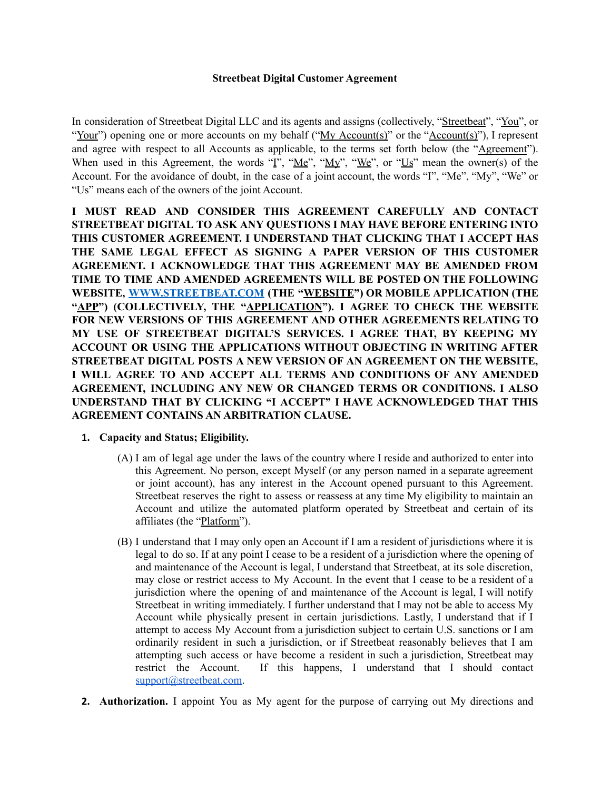#### **Streetbeat Digital Customer Agreement**

In consideration of Streetbeat Digital LLC and its agents and assigns (collectively, "Streetbeat", "You", or "Your") opening one or more accounts on my behalf ("My Account(s)" or the "Account(s)"), I represent and agree with respect to all Accounts as applicable, to the terms set forth below (the "Agreement"). When used in this Agreement, the words " $\overline{I}$ ", " $\underline{M}$ ", " $\underline{M}$ ", " $\underline{W}$ ", or " $\underline{Us}$ " mean the owner(s) of the Account. For the avoidance of doubt, in the case of a joint account, the words "I", "Me", "My", "We" or "Us" means each of the owners of the joint Account.

**I MUST READ AND CONSIDER THIS AGREEMENT CAREFULLY AND CONTACT STREETBEAT DIGITAL TO ASK ANY QUESTIONS I MAY HAVE BEFORE ENTERING INTO THIS CUSTOMER AGREEMENT. I UNDERSTAND THAT CLICKING THAT I ACCEPT HAS THE SAME LEGAL EFFECT AS SIGNING A PAPER VERSION OF THIS CUSTOMER AGREEMENT. I ACKNOWLEDGE THAT THIS AGREEMENT MAY BE AMENDED FROM TIME TO TIME AND AMENDED AGREEMENTS WILL BE POSTED ON THE FOLLOWING WEBSITE, [WWW.STREETBEAT.COM](http://www.streetbeat.com) (THE "WEBSITE") OR MOBILE APPLICATION (THE "APP") (COLLECTIVELY, THE "APPLICATION"). I AGREE TO CHECK THE WEBSITE FOR NEW VERSIONS OF THIS AGREEMENT AND OTHER AGREEMENTS RELATING TO MY USE OF STREETBEAT DIGITAL'S SERVICES. I AGREE THAT, BY KEEPING MY ACCOUNT OR USING THE APPLICATIONS WITHOUT OBJECTING IN WRITING AFTER STREETBEAT DIGITAL POSTS A NEW VERSION OF AN AGREEMENT ON THE WEBSITE, I WILL AGREE TO AND ACCEPT ALL TERMS AND CONDITIONS OF ANY AMENDED AGREEMENT, INCLUDING ANY NEW OR CHANGED TERMS OR CONDITIONS. I ALSO UNDERSTAND THAT BY CLICKING "I ACCEPT" I HAVE ACKNOWLEDGED THAT THIS AGREEMENT CONTAINS AN ARBITRATION CLAUSE.**

#### **1. Capacity and Status; Eligibility.**

- (A) I am of legal age under the laws of the country where I reside and authorized to enter into this Agreement. No person, except Myself (or any person named in a separate agreement or joint account), has any interest in the Account opened pursuant to this Agreement. Streetbeat reserves the right to assess or reassess at any time My eligibility to maintain an Account and utilize the automated platform operated by Streetbeat and certain of its affiliates (the "Platform").
- (B) I understand that I may only open an Account if I am a resident of jurisdictions where it is legal to do so. If at any point I cease to be a resident of a jurisdiction where the opening of and maintenance of the Account is legal, I understand that Streetbeat, at its sole discretion, may close or restrict access to My Account. In the event that I cease to be a resident of a jurisdiction where the opening of and maintenance of the Account is legal, I will notify Streetbeat in writing immediately. I further understand that I may not be able to access My Account while physically present in certain jurisdictions. Lastly, I understand that if I attempt to access My Account from a jurisdiction subject to certain U.S. sanctions or I am ordinarily resident in such a jurisdiction, or if Streetbeat reasonably believes that I am attempting such access or have become a resident in such a jurisdiction, Streetbeat may restrict the Account. If this happens, I understand that I should contact [support@streetbeat.com.](mailto:support@streetbeat.com)
- **2. Authorization.** I appoint You as My agent for the purpose of carrying out My directions and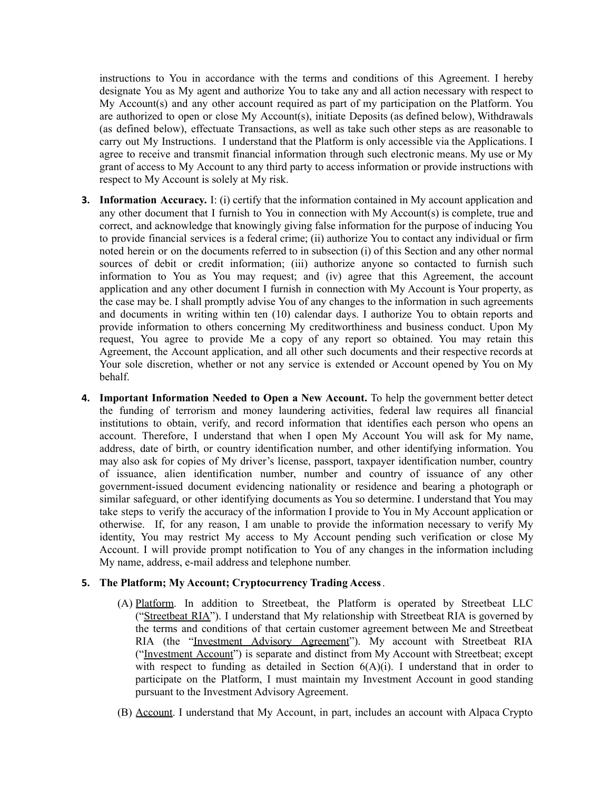instructions to You in accordance with the terms and conditions of this Agreement. I hereby designate You as My agent and authorize You to take any and all action necessary with respect to My Account(s) and any other account required as part of my participation on the Platform. You are authorized to open or close My Account(s), initiate Deposits (as defined below), Withdrawals (as defined below), effectuate Transactions, as well as take such other steps as are reasonable to carry out My Instructions. I understand that the Platform is only accessible via the Applications. I agree to receive and transmit financial information through such electronic means. My use or My grant of access to My Account to any third party to access information or provide instructions with respect to My Account is solely at My risk.

- **3. Information Accuracy.** I: (i) certify that the information contained in My account application and any other document that I furnish to You in connection with My Account(s) is complete, true and correct, and acknowledge that knowingly giving false information for the purpose of inducing You to provide financial services is a federal crime; (ii) authorize You to contact any individual or firm noted herein or on the documents referred to in subsection (i) of this Section and any other normal sources of debit or credit information; (iii) authorize anyone so contacted to furnish such information to You as You may request; and (iv) agree that this Agreement, the account application and any other document I furnish in connection with My Account is Your property, as the case may be. I shall promptly advise You of any changes to the information in such agreements and documents in writing within ten (10) calendar days. I authorize You to obtain reports and provide information to others concerning My creditworthiness and business conduct. Upon My request, You agree to provide Me a copy of any report so obtained. You may retain this Agreement, the Account application, and all other such documents and their respective records at Your sole discretion, whether or not any service is extended or Account opened by You on My behalf.
- **4. Important Information Needed to Open a New Account.** To help the government better detect the funding of terrorism and money laundering activities, federal law requires all financial institutions to obtain, verify, and record information that identifies each person who opens an account. Therefore, I understand that when I open My Account You will ask for My name, address, date of birth, or country identification number, and other identifying information. You may also ask for copies of My driver's license, passport, taxpayer identification number, country of issuance, alien identification number, number and country of issuance of any other government-issued document evidencing nationality or residence and bearing a photograph or similar safeguard, or other identifying documents as You so determine. I understand that You may take steps to verify the accuracy of the information I provide to You in My Account application or otherwise. If, for any reason, I am unable to provide the information necessary to verify My identity, You may restrict My access to My Account pending such verification or close My Account. I will provide prompt notification to You of any changes in the information including My name, address, e-mail address and telephone number.

## **5. The Platform; My Account; Cryptocurrency Trading Access**.

- (A) Platform. In addition to Streetbeat, the Platform is operated by Streetbeat LLC ("Streetbeat RIA"). I understand that My relationship with Streetbeat RIA is governed by the terms and conditions of that certain customer agreement between Me and Streetbeat RIA (the "Investment Advisory Agreement"). My account with Streetbeat RIA ("Investment Account") is separate and distinct from My Account with Streetbeat; except with respect to funding as detailed in Section  $6(A)(i)$ . I understand that in order to participate on the Platform, I must maintain my Investment Account in good standing pursuant to the Investment Advisory Agreement.
- (B) Account. I understand that My Account, in part, includes an account with Alpaca Crypto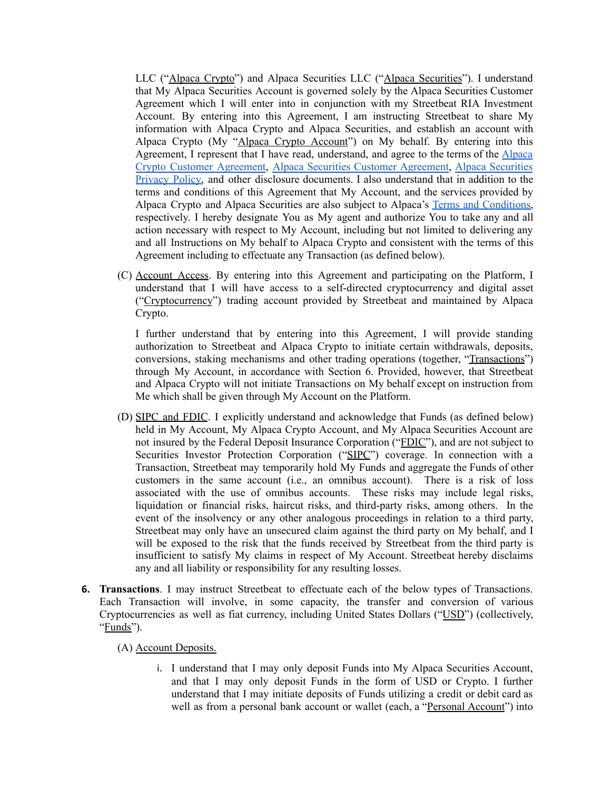LLC ("Alpaca Crypto") and Alpaca Securities LLC ("Alpaca Securities"). I understand that My Alpaca Securities Account is governed solely by the Alpaca Securities Customer Agreement which I will enter into in conjunction with my Streetbeat RIA Investment Account. By entering into this Agreement, I am instructing Streetbeat to share My information with Alpaca Crypto and Alpaca Securities, and establish an account with Alpaca Crypto (My "Alpaca Crypto Account") on My behalf. By entering into this Agreement, I represent that I have read, understand, and agree to the terms of the [Alpaca](https://files.alpaca.markets/disclosures/library/Crypto%20Customer%20Agreement.pdf) Crypto Customer [Agreement](https://files.alpaca.markets/disclosures/library/Crypto%20Customer%20Agreement.pdf), Alpaca Securities Customer [Agreement,](https://files.alpaca.markets/disclosures/library/alpaca_customer_agreement_v20200819.pdf) Alpaca [Securities](https://files.alpaca.markets/disclosures/library/PrivacyNotice.pdf) [Privacy](https://files.alpaca.markets/disclosures/library/PrivacyNotice.pdf) Policy, and other disclosure documents. I also understand that in addition to the terms and conditions of this Agreement that My Account, and the services provided by Alpaca Crypto and Alpaca Securities are also subject to Alpaca's Terms and [Conditions,](https://files.alpaca.markets/disclosures/library/TermsAndConditions.pdf) respectively. I hereby designate You as My agent and authorize You to take any and all action necessary with respect to My Account, including but not limited to delivering any and all Instructions on My behalf to Alpaca Crypto and consistent with the terms of this Agreement including to effectuate any Transaction (as defined below).

(C) Account Access. By entering into this Agreement and participating on the Platform, I understand that I will have access to a self-directed cryptocurrency and digital asset ("Cryptocurrency") trading account provided by Streetbeat and maintained by Alpaca Crypto.

I further understand that by entering into this Agreement, I will provide standing authorization to Streetbeat and Alpaca Crypto to initiate certain withdrawals, deposits, conversions, staking mechanisms and other trading operations (together, "Transactions") through My Account, in accordance with Section 6. Provided, however, that Streetbeat and Alpaca Crypto will not initiate Transactions on My behalf except on instruction from Me which shall be given through My Account on the Platform.

- (D) SIPC and FDIC. I explicitly understand and acknowledge that Funds (as defined below) held in My Account, My Alpaca Crypto Account, and My Alpaca Securities Account are not insured by the Federal Deposit Insurance Corporation ("FDIC"), and are not subject to Securities Investor Protection Corporation ("SIPC") coverage. In connection with a Transaction, Streetbeat may temporarily hold My Funds and aggregate the Funds of other customers in the same account (i.e., an omnibus account). There is a risk of loss associated with the use of omnibus accounts. These risks may include legal risks, liquidation or financial risks, haircut risks, and third-party risks, among others. In the event of the insolvency or any other analogous proceedings in relation to a third party, Streetbeat may only have an unsecured claim against the third party on My behalf, and I will be exposed to the risk that the funds received by Streetbeat from the third party is insufficient to satisfy My claims in respect of My Account. Streetbeat hereby disclaims any and all liability or responsibility for any resulting losses.
- **6. Transactions**. I may instruct Streetbeat to effectuate each of the below types of Transactions. Each Transaction will involve, in some capacity, the transfer and conversion of various Cryptocurrencies as well as fiat currency, including United States Dollars ("USD") (collectively, "Funds").

(A) Account Deposits.

i. I understand that I may only deposit Funds into My Alpaca Securities Account, and that I may only deposit Funds in the form of USD or Crypto. I further understand that I may initiate deposits of Funds utilizing a credit or debit card as well as from a personal bank account or wallet (each, a "Personal Account") into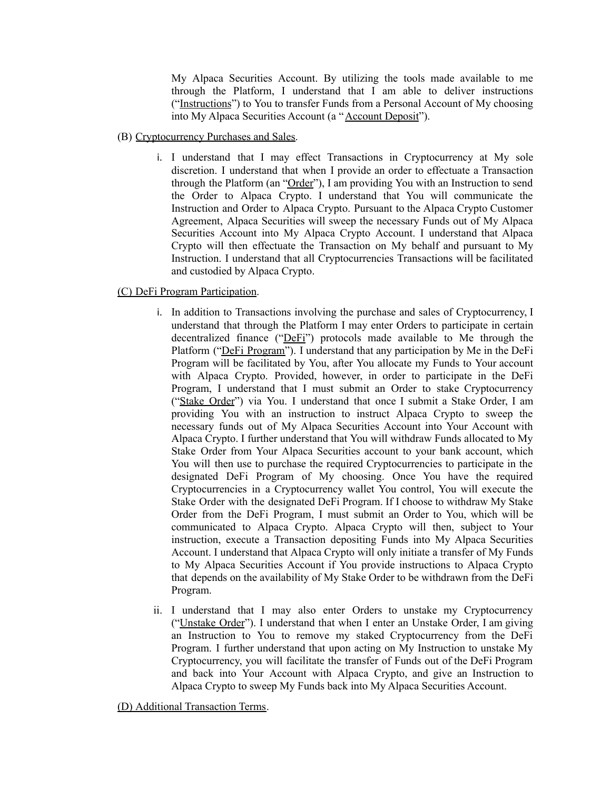My Alpaca Securities Account. By utilizing the tools made available to me through the Platform, I understand that I am able to deliver instructions ("Instructions") to You to transfer Funds from a Personal Account of My choosing into My Alpaca Securities Account (a "Account Deposit").

- (B) Cryptocurrency Purchases and Sales.
	- i. I understand that I may effect Transactions in Cryptocurrency at My sole discretion. I understand that when I provide an order to effectuate a Transaction through the Platform (an "Order"), I am providing You with an Instruction to send the Order to Alpaca Crypto. I understand that You will communicate the Instruction and Order to Alpaca Crypto. Pursuant to the Alpaca Crypto Customer Agreement, Alpaca Securities will sweep the necessary Funds out of My Alpaca Securities Account into My Alpaca Crypto Account. I understand that Alpaca Crypto will then effectuate the Transaction on My behalf and pursuant to My Instruction. I understand that all Cryptocurrencies Transactions will be facilitated and custodied by Alpaca Crypto.

# (C) DeFi Program Participation.

- i. In addition to Transactions involving the purchase and sales of Cryptocurrency, I understand that through the Platform I may enter Orders to participate in certain decentralized finance ("DeFi") protocols made available to Me through the Platform ("DeFi Program"). I understand that any participation by Me in the DeFi Program will be facilitated by You, after You allocate my Funds to Your account with Alpaca Crypto. Provided, however, in order to participate in the DeFi Program, I understand that I must submit an Order to stake Cryptocurrency ("Stake Order") via You. I understand that once I submit a Stake Order, I am providing You with an instruction to instruct Alpaca Crypto to sweep the necessary funds out of My Alpaca Securities Account into Your Account with Alpaca Crypto. I further understand that You will withdraw Funds allocated to My Stake Order from Your Alpaca Securities account to your bank account, which You will then use to purchase the required Cryptocurrencies to participate in the designated DeFi Program of My choosing. Once You have the required Cryptocurrencies in a Cryptocurrency wallet You control, You will execute the Stake Order with the designated DeFi Program. If I choose to withdraw My Stake Order from the DeFi Program, I must submit an Order to You, which will be communicated to Alpaca Crypto. Alpaca Crypto will then, subject to Your instruction, execute a Transaction depositing Funds into My Alpaca Securities Account. I understand that Alpaca Crypto will only initiate a transfer of My Funds to My Alpaca Securities Account if You provide instructions to Alpaca Crypto that depends on the availability of My Stake Order to be withdrawn from the DeFi Program.
- ii. I understand that I may also enter Orders to unstake my Cryptocurrency ("Unstake Order"). I understand that when I enter an Unstake Order, I am giving an Instruction to You to remove my staked Cryptocurrency from the DeFi Program. I further understand that upon acting on My Instruction to unstake My Cryptocurrency, you will facilitate the transfer of Funds out of the DeFi Program and back into Your Account with Alpaca Crypto, and give an Instruction to Alpaca Crypto to sweep My Funds back into My Alpaca Securities Account.

(D) Additional Transaction Terms.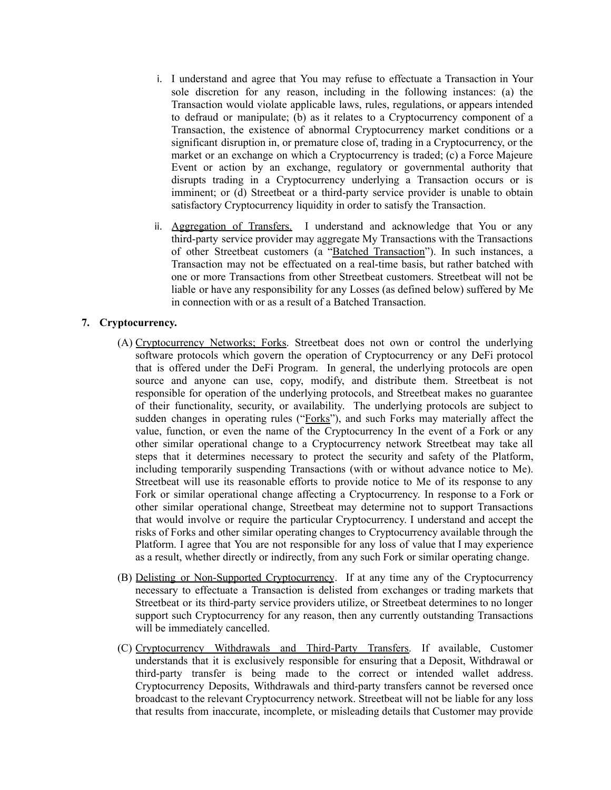- i. I understand and agree that You may refuse to effectuate a Transaction in Your sole discretion for any reason, including in the following instances: (a) the Transaction would violate applicable laws, rules, regulations, or appears intended to defraud or manipulate; (b) as it relates to a Cryptocurrency component of a Transaction, the existence of abnormal Cryptocurrency market conditions or a significant disruption in, or premature close of, trading in a Cryptocurrency, or the market or an exchange on which a Cryptocurrency is traded; (c) a Force Majeure Event or action by an exchange, regulatory or governmental authority that disrupts trading in a Cryptocurrency underlying a Transaction occurs or is imminent; or (d) Streetbeat or a third-party service provider is unable to obtain satisfactory Cryptocurrency liquidity in order to satisfy the Transaction.
- ii. Aggregation of Transfers. I understand and acknowledge that You or any third-party service provider may aggregate My Transactions with the Transactions of other Streetbeat customers (a "Batched Transaction"). In such instances, a Transaction may not be effectuated on a real-time basis, but rather batched with one or more Transactions from other Streetbeat customers. Streetbeat will not be liable or have any responsibility for any Losses (as defined below) suffered by Me in connection with or as a result of a Batched Transaction.

## **7. Cryptocurrency.**

- (A) Cryptocurrency Networks; Forks. Streetbeat does not own or control the underlying software protocols which govern the operation of Cryptocurrency or any DeFi protocol that is offered under the DeFi Program. In general, the underlying protocols are open source and anyone can use, copy, modify, and distribute them. Streetbeat is not responsible for operation of the underlying protocols, and Streetbeat makes no guarantee of their functionality, security, or availability. The underlying protocols are subject to sudden changes in operating rules ("Forks"), and such Forks may materially affect the value, function, or even the name of the Cryptocurrency In the event of a Fork or any other similar operational change to a Cryptocurrency network Streetbeat may take all steps that it determines necessary to protect the security and safety of the Platform, including temporarily suspending Transactions (with or without advance notice to Me). Streetbeat will use its reasonable efforts to provide notice to Me of its response to any Fork or similar operational change affecting a Cryptocurrency. In response to a Fork or other similar operational change, Streetbeat may determine not to support Transactions that would involve or require the particular Cryptocurrency. I understand and accept the risks of Forks and other similar operating changes to Cryptocurrency available through the Platform. I agree that You are not responsible for any loss of value that I may experience as a result, whether directly or indirectly, from any such Fork or similar operating change.
- (B) Delisting or Non-Supported Cryptocurrency. If at any time any of the Cryptocurrency necessary to effectuate a Transaction is delisted from exchanges or trading markets that Streetbeat or its third-party service providers utilize, or Streetbeat determines to no longer support such Cryptocurrency for any reason, then any currently outstanding Transactions will be immediately cancelled.
- (C) Cryptocurrency Withdrawals and Third-Party Transfers. If available, Customer understands that it is exclusively responsible for ensuring that a Deposit, Withdrawal or third-party transfer is being made to the correct or intended wallet address. Cryptocurrency Deposits, Withdrawals and third-party transfers cannot be reversed once broadcast to the relevant Cryptocurrency network. Streetbeat will not be liable for any loss that results from inaccurate, incomplete, or misleading details that Customer may provide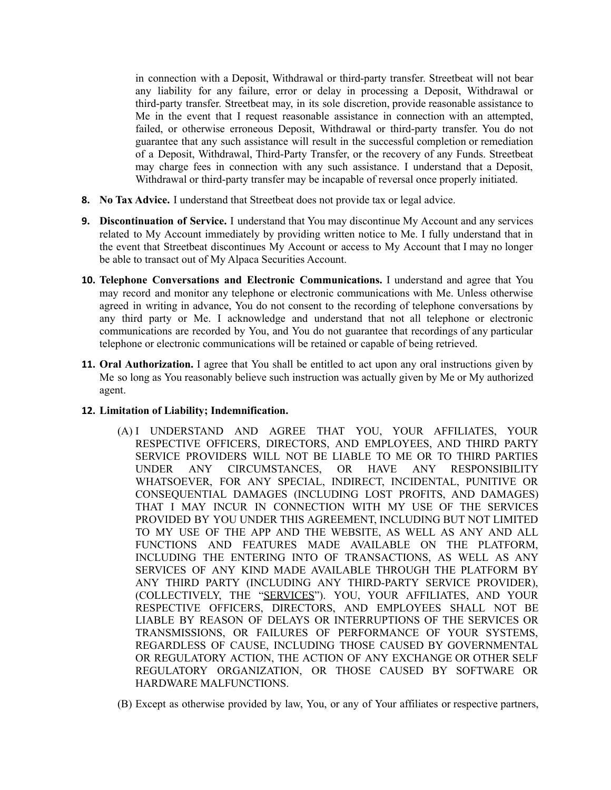in connection with a Deposit, Withdrawal or third-party transfer. Streetbeat will not bear any liability for any failure, error or delay in processing a Deposit, Withdrawal or third-party transfer. Streetbeat may, in its sole discretion, provide reasonable assistance to Me in the event that I request reasonable assistance in connection with an attempted, failed, or otherwise erroneous Deposit, Withdrawal or third-party transfer. You do not guarantee that any such assistance will result in the successful completion or remediation of a Deposit, Withdrawal, Third-Party Transfer, or the recovery of any Funds. Streetbeat may charge fees in connection with any such assistance. I understand that a Deposit, Withdrawal or third-party transfer may be incapable of reversal once properly initiated.

- **8. No Tax Advice.** I understand that Streetbeat does not provide tax or legal advice.
- **9. Discontinuation of Service.** I understand that You may discontinue My Account and any services related to My Account immediately by providing written notice to Me. I fully understand that in the event that Streetbeat discontinues My Account or access to My Account that I may no longer be able to transact out of My Alpaca Securities Account.
- **10. Telephone Conversations and Electronic Communications.** I understand and agree that You may record and monitor any telephone or electronic communications with Me. Unless otherwise agreed in writing in advance, You do not consent to the recording of telephone conversations by any third party or Me. I acknowledge and understand that not all telephone or electronic communications are recorded by You, and You do not guarantee that recordings of any particular telephone or electronic communications will be retained or capable of being retrieved.
- **11. Oral Authorization.** I agree that You shall be entitled to act upon any oral instructions given by Me so long as You reasonably believe such instruction was actually given by Me or My authorized agent.

## **12. Limitation of Liability; Indemnification.**

- (A) I UNDERSTAND AND AGREE THAT YOU, YOUR AFFILIATES, YOUR RESPECTIVE OFFICERS, DIRECTORS, AND EMPLOYEES, AND THIRD PARTY SERVICE PROVIDERS WILL NOT BE LIABLE TO ME OR TO THIRD PARTIES UNDER ANY CIRCUMSTANCES, OR HAVE ANY RESPONSIBILITY WHATSOEVER, FOR ANY SPECIAL, INDIRECT, INCIDENTAL, PUNITIVE OR CONSEQUENTIAL DAMAGES (INCLUDING LOST PROFITS, AND DAMAGES) THAT I MAY INCUR IN CONNECTION WITH MY USE OF THE SERVICES PROVIDED BY YOU UNDER THIS AGREEMENT, INCLUDING BUT NOT LIMITED TO MY USE OF THE APP AND THE WEBSITE, AS WELL AS ANY AND ALL FUNCTIONS AND FEATURES MADE AVAILABLE ON THE PLATFORM, INCLUDING THE ENTERING INTO OF TRANSACTIONS, AS WELL AS ANY SERVICES OF ANY KIND MADE AVAILABLE THROUGH THE PLATFORM BY ANY THIRD PARTY (INCLUDING ANY THIRD-PARTY SERVICE PROVIDER), (COLLECTIVELY, THE "SERVICES"). YOU, YOUR AFFILIATES, AND YOUR RESPECTIVE OFFICERS, DIRECTORS, AND EMPLOYEES SHALL NOT BE LIABLE BY REASON OF DELAYS OR INTERRUPTIONS OF THE SERVICES OR TRANSMISSIONS, OR FAILURES OF PERFORMANCE OF YOUR SYSTEMS, REGARDLESS OF CAUSE, INCLUDING THOSE CAUSED BY GOVERNMENTAL OR REGULATORY ACTION, THE ACTION OF ANY EXCHANGE OR OTHER SELF REGULATORY ORGANIZATION, OR THOSE CAUSED BY SOFTWARE OR HARDWARE MALFUNCTIONS.
- (B) Except as otherwise provided by law, You, or any of Your affiliates or respective partners,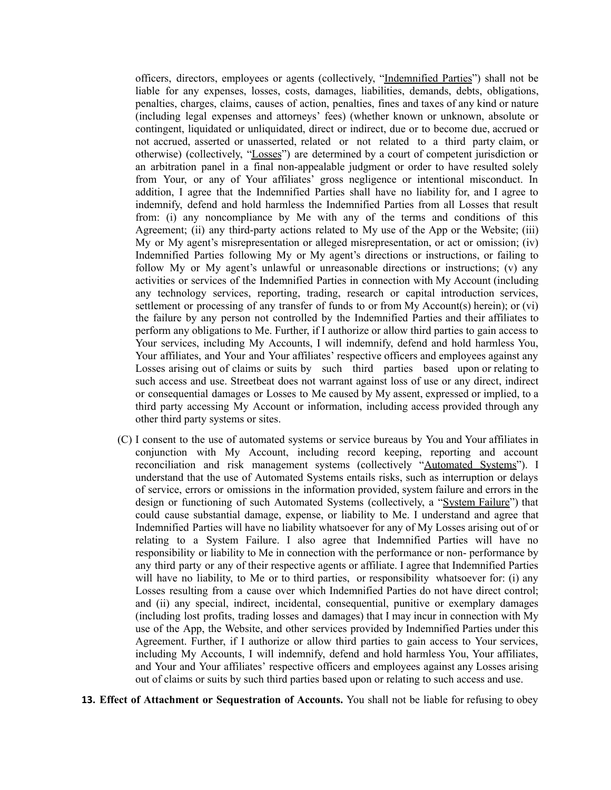officers, directors, employees or agents (collectively, "Indemnified Parties") shall not be liable for any expenses, losses, costs, damages, liabilities, demands, debts, obligations, penalties, charges, claims, causes of action, penalties, fines and taxes of any kind or nature (including legal expenses and attorneys' fees) (whether known or unknown, absolute or contingent, liquidated or unliquidated, direct or indirect, due or to become due, accrued or not accrued, asserted or unasserted, related or not related to a third party claim, or otherwise) (collectively, "Losses") are determined by a court of competent jurisdiction or an arbitration panel in a final non-appealable judgment or order to have resulted solely from Your, or any of Your affiliates' gross negligence or intentional misconduct. In addition, I agree that the Indemnified Parties shall have no liability for, and I agree to indemnify, defend and hold harmless the Indemnified Parties from all Losses that result from: (i) any noncompliance by Me with any of the terms and conditions of this Agreement; (ii) any third-party actions related to My use of the App or the Website; (iii) My or My agent's misrepresentation or alleged misrepresentation, or act or omission; (iv) Indemnified Parties following My or My agent's directions or instructions, or failing to follow My or My agent's unlawful or unreasonable directions or instructions;  $(v)$  any activities or services of the Indemnified Parties in connection with My Account (including any technology services, reporting, trading, research or capital introduction services, settlement or processing of any transfer of funds to or from My Account(s) herein); or (vi) the failure by any person not controlled by the Indemnified Parties and their affiliates to perform any obligations to Me. Further, if I authorize or allow third parties to gain access to Your services, including My Accounts, I will indemnify, defend and hold harmless You, Your affiliates, and Your and Your affiliates' respective officers and employees against any Losses arising out of claims or suits by such third parties based upon or relating to such access and use. Streetbeat does not warrant against loss of use or any direct, indirect or consequential damages or Losses to Me caused by My assent, expressed or implied, to a third party accessing My Account or information, including access provided through any other third party systems or sites.

- (C) I consent to the use of automated systems or service bureaus by You and Your affiliates in conjunction with My Account, including record keeping, reporting and account reconciliation and risk management systems (collectively "Automated Systems"). I understand that the use of Automated Systems entails risks, such as interruption or delays of service, errors or omissions in the information provided, system failure and errors in the design or functioning of such Automated Systems (collectively, a "System Failure") that could cause substantial damage, expense, or liability to Me. I understand and agree that Indemnified Parties will have no liability whatsoever for any of My Losses arising out of or relating to a System Failure. I also agree that Indemnified Parties will have no responsibility or liability to Me in connection with the performance or non- performance by any third party or any of their respective agents or affiliate. I agree that Indemnified Parties will have no liability, to Me or to third parties, or responsibility whatsoever for: (i) any Losses resulting from a cause over which Indemnified Parties do not have direct control; and (ii) any special, indirect, incidental, consequential, punitive or exemplary damages (including lost profits, trading losses and damages) that I may incur in connection with My use of the App, the Website, and other services provided by Indemnified Parties under this Agreement. Further, if I authorize or allow third parties to gain access to Your services, including My Accounts, I will indemnify, defend and hold harmless You, Your affiliates, and Your and Your affiliates' respective officers and employees against any Losses arising out of claims or suits by such third parties based upon or relating to such access and use.
- **13. Effect of Attachment or Sequestration of Accounts.** You shall not be liable for refusing to obey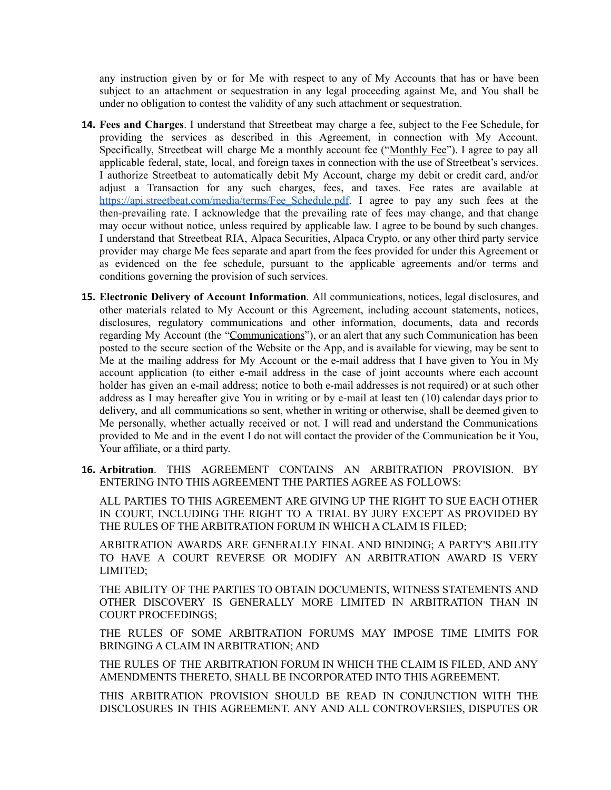any instruction given by or for Me with respect to any of My Accounts that has or have been subject to an attachment or sequestration in any legal proceeding against Me, and You shall be under no obligation to contest the validity of any such attachment or sequestration.

- **14. Fees and Charges**. I understand that Streetbeat may charge a fee, subject to the Fee Schedule, for providing the services as described in this Agreement, in connection with My Account. Specifically, Streetbeat will charge Me a monthly account fee ("Monthly Fee"). I agree to pay all applicable federal, state, local, and foreign taxes in connection with the use of Streetbeat's services. I authorize Streetbeat to automatically debit My Account, charge my debit or credit card, and/or adjust a Transaction for any such charges, fees, and taxes. Fee rates are available at [https://api.streetbeat.com/media/terms/Fee\\_Schedule.pdf.](https://api.streetbeat.com/media/terms/Fee_Schedule.pdf) I agree to pay any such fees at the then-prevailing rate. I acknowledge that the prevailing rate of fees may change, and that change may occur without notice, unless required by applicable law. I agree to be bound by such changes. I understand that Streetbeat RIA, Alpaca Securities, Alpaca Crypto, or any other third party service provider may charge Me fees separate and apart from the fees provided for under this Agreement or as evidenced on the fee schedule, pursuant to the applicable agreements and/or terms and conditions governing the provision of such services.
- **15. Electronic Delivery of Account Information**. All communications, notices, legal disclosures, and other materials related to My Account or this Agreement, including account statements, notices, disclosures, regulatory communications and other information, documents, data and records regarding My Account (the "Communications"), or an alert that any such Communication has been posted to the secure section of the Website or the App, and is available for viewing, may be sent to Me at the mailing address for My Account or the e-mail address that I have given to You in My account application (to either e-mail address in the case of joint accounts where each account holder has given an e-mail address; notice to both e-mail addresses is not required) or at such other address as I may hereafter give You in writing or by e-mail at least ten (10) calendar days prior to delivery, and all communications so sent, whether in writing or otherwise, shall be deemed given to Me personally, whether actually received or not. I will read and understand the Communications provided to Me and in the event I do not will contact the provider of the Communication be it You, Your affiliate, or a third party.
- **16. Arbitration**. THIS AGREEMENT CONTAINS AN ARBITRATION PROVISION. BY ENTERING INTO THIS AGREEMENT THE PARTIES AGREE AS FOLLOWS:

ALL PARTIES TO THIS AGREEMENT ARE GIVING UP THE RIGHT TO SUE EACH OTHER IN COURT, INCLUDING THE RIGHT TO A TRIAL BY JURY EXCEPT AS PROVIDED BY THE RULES OF THE ARBITRATION FORUM IN WHICH A CLAIM IS FILED;

ARBITRATION AWARDS ARE GENERALLY FINAL AND BINDING; A PARTY'S ABILITY TO HAVE A COURT REVERSE OR MODIFY AN ARBITRATION AWARD IS VERY LIMITED;

THE ABILITY OF THE PARTIES TO OBTAIN DOCUMENTS, WITNESS STATEMENTS AND OTHER DISCOVERY IS GENERALLY MORE LIMITED IN ARBITRATION THAN IN COURT PROCEEDINGS;

THE RULES OF SOME ARBITRATION FORUMS MAY IMPOSE TIME LIMITS FOR BRINGING A CLAIM IN ARBITRATION; AND

THE RULES OF THE ARBITRATION FORUM IN WHICH THE CLAIM IS FILED, AND ANY AMENDMENTS THERETO, SHALL BE INCORPORATED INTO THIS AGREEMENT.

THIS ARBITRATION PROVISION SHOULD BE READ IN CONJUNCTION WITH THE DISCLOSURES IN THIS AGREEMENT. ANY AND ALL CONTROVERSIES, DISPUTES OR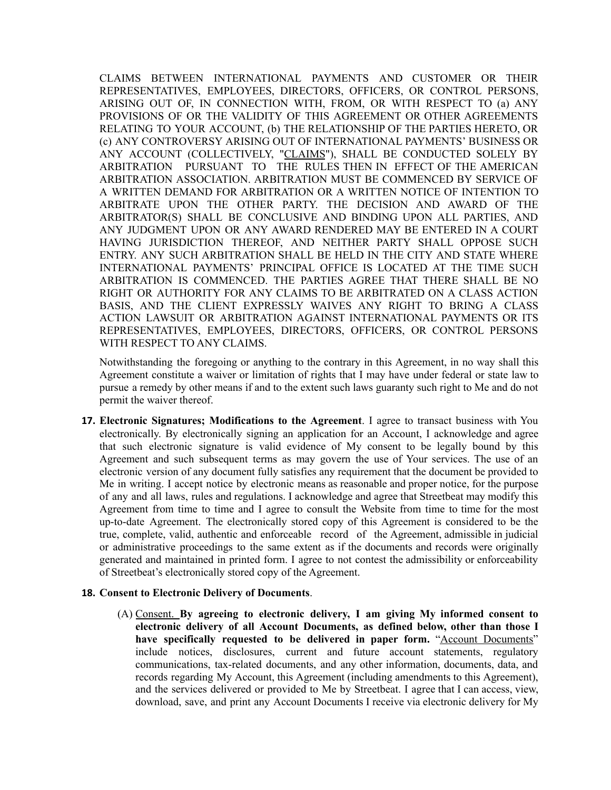CLAIMS BETWEEN INTERNATIONAL PAYMENTS AND CUSTOMER OR THEIR REPRESENTATIVES, EMPLOYEES, DIRECTORS, OFFICERS, OR CONTROL PERSONS, ARISING OUT OF, IN CONNECTION WITH, FROM, OR WITH RESPECT TO (a) ANY PROVISIONS OF OR THE VALIDITY OF THIS AGREEMENT OR OTHER AGREEMENTS RELATING TO YOUR ACCOUNT, (b) THE RELATIONSHIP OF THE PARTIES HERETO, OR (c) ANY CONTROVERSY ARISING OUT OF INTERNATIONAL PAYMENTS' BUSINESS OR ANY ACCOUNT (COLLECTIVELY, "CLAIMS"), SHALL BE CONDUCTED SOLELY BY ARBITRATION PURSUANT TO THE RULES THEN IN EFFECT OF THE AMERICAN ARBITRATION ASSOCIATION. ARBITRATION MUST BE COMMENCED BY SERVICE OF A WRITTEN DEMAND FOR ARBITRATION OR A WRITTEN NOTICE OF INTENTION TO ARBITRATE UPON THE OTHER PARTY. THE DECISION AND AWARD OF THE ARBITRATOR(S) SHALL BE CONCLUSIVE AND BINDING UPON ALL PARTIES, AND ANY JUDGMENT UPON OR ANY AWARD RENDERED MAY BE ENTERED IN A COURT HAVING JURISDICTION THEREOF, AND NEITHER PARTY SHALL OPPOSE SUCH ENTRY. ANY SUCH ARBITRATION SHALL BE HELD IN THE CITY AND STATE WHERE INTERNATIONAL PAYMENTS' PRINCIPAL OFFICE IS LOCATED AT THE TIME SUCH ARBITRATION IS COMMENCED. THE PARTIES AGREE THAT THERE SHALL BE NO RIGHT OR AUTHORITY FOR ANY CLAIMS TO BE ARBITRATED ON A CLASS ACTION BASIS, AND THE CLIENT EXPRESSLY WAIVES ANY RIGHT TO BRING A CLASS ACTION LAWSUIT OR ARBITRATION AGAINST INTERNATIONAL PAYMENTS OR ITS REPRESENTATIVES, EMPLOYEES, DIRECTORS, OFFICERS, OR CONTROL PERSONS WITH RESPECT TO ANY CLAIMS.

Notwithstanding the foregoing or anything to the contrary in this Agreement, in no way shall this Agreement constitute a waiver or limitation of rights that I may have under federal or state law to pursue a remedy by other means if and to the extent such laws guaranty such right to Me and do not permit the waiver thereof.

**17. Electronic Signatures; Modifications to the Agreement**. I agree to transact business with You electronically. By electronically signing an application for an Account, I acknowledge and agree that such electronic signature is valid evidence of My consent to be legally bound by this Agreement and such subsequent terms as may govern the use of Your services. The use of an electronic version of any document fully satisfies any requirement that the document be provided to Me in writing. I accept notice by electronic means as reasonable and proper notice, for the purpose of any and all laws, rules and regulations. I acknowledge and agree that Streetbeat may modify this Agreement from time to time and I agree to consult the Website from time to time for the most up-to-date Agreement. The electronically stored copy of this Agreement is considered to be the true, complete, valid, authentic and enforceable record of the Agreement, admissible in judicial or administrative proceedings to the same extent as if the documents and records were originally generated and maintained in printed form. I agree to not contest the admissibility or enforceability of Streetbeat's electronically stored copy of the Agreement.

#### **18. Consent to Electronic Delivery of Documents**.

(A) Consent. **By agreeing to electronic delivery, I am giving My informed consent to electronic delivery of all Account Documents, as defined below, other than those I have specifically requested to be delivered in paper form.** "Account Documents" include notices, disclosures, current and future account statements, regulatory communications, tax-related documents, and any other information, documents, data, and records regarding My Account, this Agreement (including amendments to this Agreement), and the services delivered or provided to Me by Streetbeat. I agree that I can access, view, download, save, and print any Account Documents I receive via electronic delivery for My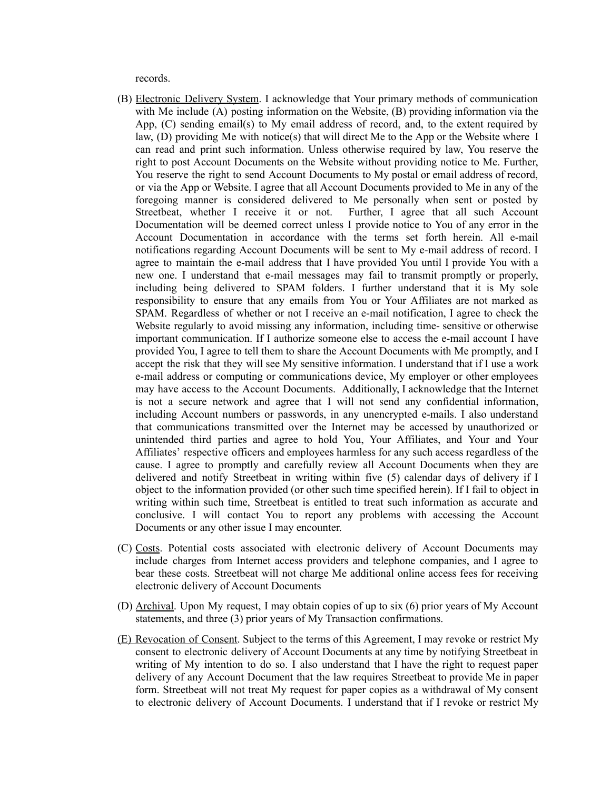records.

- (B) Electronic Delivery System. I acknowledge that Your primary methods of communication with Me include (A) posting information on the Website, (B) providing information via the App, (C) sending email(s) to My email address of record, and, to the extent required by law, (D) providing Me with notice(s) that will direct Me to the App or the Website where I can read and print such information. Unless otherwise required by law, You reserve the right to post Account Documents on the Website without providing notice to Me. Further, You reserve the right to send Account Documents to My postal or email address of record, or via the App or Website. I agree that all Account Documents provided to Me in any of the foregoing manner is considered delivered to Me personally when sent or posted by Streetbeat, whether I receive it or not. Further, I agree that all such Account Documentation will be deemed correct unless I provide notice to You of any error in the Account Documentation in accordance with the terms set forth herein. All e-mail notifications regarding Account Documents will be sent to My e-mail address of record. I agree to maintain the e-mail address that I have provided You until I provide You with a new one. I understand that e-mail messages may fail to transmit promptly or properly, including being delivered to SPAM folders. I further understand that it is My sole responsibility to ensure that any emails from You or Your Affiliates are not marked as SPAM. Regardless of whether or not I receive an e-mail notification, I agree to check the Website regularly to avoid missing any information, including time- sensitive or otherwise important communication. If I authorize someone else to access the e-mail account I have provided You, I agree to tell them to share the Account Documents with Me promptly, and I accept the risk that they will see My sensitive information. I understand that if I use a work e-mail address or computing or communications device, My employer or other employees may have access to the Account Documents. Additionally, I acknowledge that the Internet is not a secure network and agree that I will not send any confidential information, including Account numbers or passwords, in any unencrypted e-mails. I also understand that communications transmitted over the Internet may be accessed by unauthorized or unintended third parties and agree to hold You, Your Affiliates, and Your and Your Affiliates' respective officers and employees harmless for any such access regardless of the cause. I agree to promptly and carefully review all Account Documents when they are delivered and notify Streetbeat in writing within five (5) calendar days of delivery if I object to the information provided (or other such time specified herein). If I fail to object in writing within such time, Streetbeat is entitled to treat such information as accurate and conclusive. I will contact You to report any problems with accessing the Account Documents or any other issue I may encounter.
- (C) Costs. Potential costs associated with electronic delivery of Account Documents may include charges from Internet access providers and telephone companies, and I agree to bear these costs. Streetbeat will not charge Me additional online access fees for receiving electronic delivery of Account Documents
- (D) Archival. Upon My request, I may obtain copies of up to six (6) prior years of My Account statements, and three (3) prior years of My Transaction confirmations.
- (E) Revocation of Consent. Subject to the terms of this Agreement, I may revoke or restrict My consent to electronic delivery of Account Documents at any time by notifying Streetbeat in writing of My intention to do so. I also understand that I have the right to request paper delivery of any Account Document that the law requires Streetbeat to provide Me in paper form. Streetbeat will not treat My request for paper copies as a withdrawal of My consent to electronic delivery of Account Documents. I understand that if I revoke or restrict My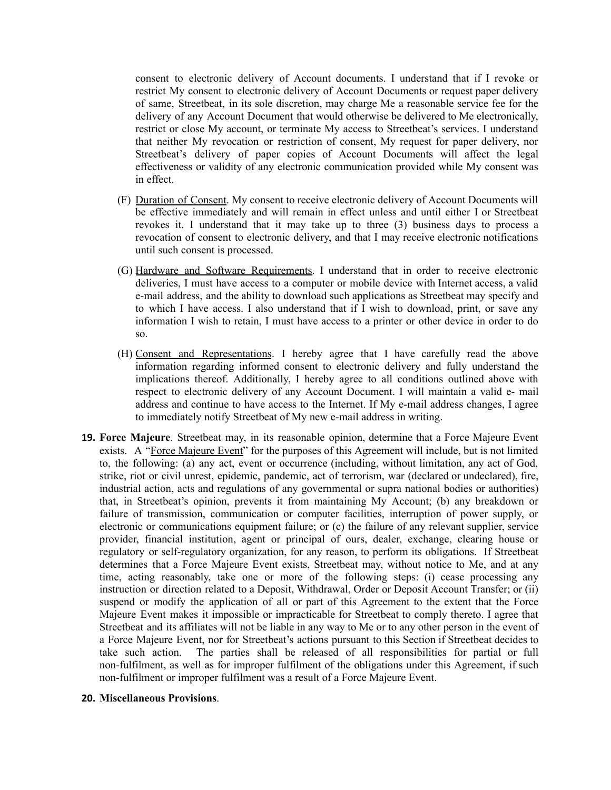consent to electronic delivery of Account documents. I understand that if I revoke or restrict My consent to electronic delivery of Account Documents or request paper delivery of same, Streetbeat, in its sole discretion, may charge Me a reasonable service fee for the delivery of any Account Document that would otherwise be delivered to Me electronically, restrict or close My account, or terminate My access to Streetbeat's services. I understand that neither My revocation or restriction of consent, My request for paper delivery, nor Streetbeat's delivery of paper copies of Account Documents will affect the legal effectiveness or validity of any electronic communication provided while My consent was in effect.

- (F) Duration of Consent. My consent to receive electronic delivery of Account Documents will be effective immediately and will remain in effect unless and until either I or Streetbeat revokes it. I understand that it may take up to three (3) business days to process a revocation of consent to electronic delivery, and that I may receive electronic notifications until such consent is processed.
- (G) Hardware and Software Requirements. I understand that in order to receive electronic deliveries, I must have access to a computer or mobile device with Internet access, a valid e-mail address, and the ability to download such applications as Streetbeat may specify and to which I have access. I also understand that if I wish to download, print, or save any information I wish to retain, I must have access to a printer or other device in order to do so.
- (H) Consent and Representations. I hereby agree that I have carefully read the above information regarding informed consent to electronic delivery and fully understand the implications thereof. Additionally, I hereby agree to all conditions outlined above with respect to electronic delivery of any Account Document. I will maintain a valid e- mail address and continue to have access to the Internet. If My e-mail address changes, I agree to immediately notify Streetbeat of My new e-mail address in writing.
- **19. Force Majeure**. Streetbeat may, in its reasonable opinion, determine that a Force Majeure Event exists. A "Force Majeure Event" for the purposes of this Agreement will include, but is not limited to, the following: (a) any act, event or occurrence (including, without limitation, any act of God, strike, riot or civil unrest, epidemic, pandemic, act of terrorism, war (declared or undeclared), fire, industrial action, acts and regulations of any governmental or supra national bodies or authorities) that, in Streetbeat's opinion, prevents it from maintaining My Account; (b) any breakdown or failure of transmission, communication or computer facilities, interruption of power supply, or electronic or communications equipment failure; or (c) the failure of any relevant supplier, service provider, financial institution, agent or principal of ours, dealer, exchange, clearing house or regulatory or self-regulatory organization, for any reason, to perform its obligations. If Streetbeat determines that a Force Majeure Event exists, Streetbeat may, without notice to Me, and at any time, acting reasonably, take one or more of the following steps: (i) cease processing any instruction or direction related to a Deposit, Withdrawal, Order or Deposit Account Transfer; or (ii) suspend or modify the application of all or part of this Agreement to the extent that the Force Majeure Event makes it impossible or impracticable for Streetbeat to comply thereto. I agree that Streetbeat and its affiliates will not be liable in any way to Me or to any other person in the event of a Force Majeure Event, nor for Streetbeat's actions pursuant to this Section if Streetbeat decides to take such action. The parties shall be released of all responsibilities for partial or full non-fulfilment, as well as for improper fulfilment of the obligations under this Agreement, if such non-fulfilment or improper fulfilment was a result of a Force Majeure Event.

#### **20. Miscellaneous Provisions**.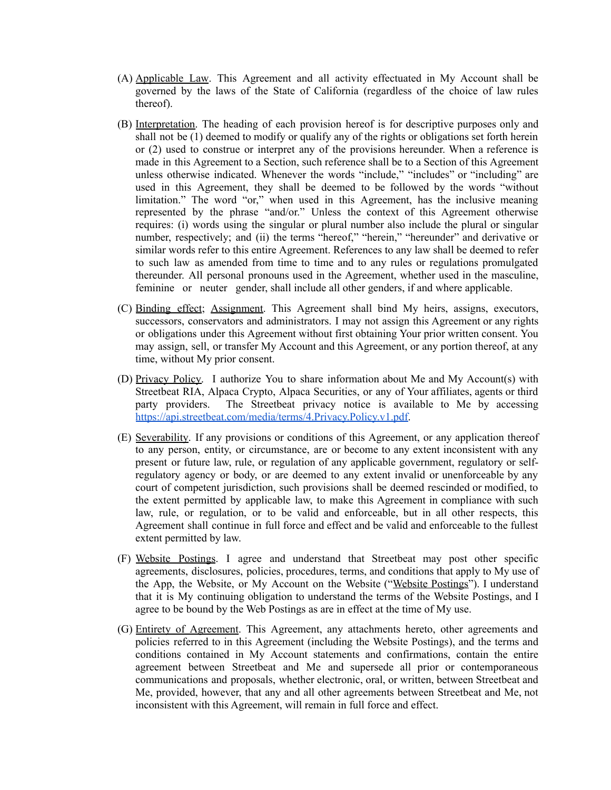- (A) Applicable Law. This Agreement and all activity effectuated in My Account shall be governed by the laws of the State of California (regardless of the choice of law rules thereof).
- (B) Interpretation. The heading of each provision hereof is for descriptive purposes only and shall not be (1) deemed to modify or qualify any of the rights or obligations set forth herein or (2) used to construe or interpret any of the provisions hereunder. When a reference is made in this Agreement to a Section, such reference shall be to a Section of this Agreement unless otherwise indicated. Whenever the words "include," "includes" or "including" are used in this Agreement, they shall be deemed to be followed by the words "without limitation." The word "or," when used in this Agreement, has the inclusive meaning represented by the phrase "and/or." Unless the context of this Agreement otherwise requires: (i) words using the singular or plural number also include the plural or singular number, respectively; and (ii) the terms "hereof," "herein," "hereunder" and derivative or similar words refer to this entire Agreement. References to any law shall be deemed to refer to such law as amended from time to time and to any rules or regulations promulgated thereunder. All personal pronouns used in the Agreement, whether used in the masculine, feminine or neuter gender, shall include all other genders, if and where applicable.
- (C) Binding effect; Assignment. This Agreement shall bind My heirs, assigns, executors, successors, conservators and administrators. I may not assign this Agreement or any rights or obligations under this Agreement without first obtaining Your prior written consent. You may assign, sell, or transfer My Account and this Agreement, or any portion thereof, at any time, without My prior consent.
- (D) Privacy Policy. I authorize You to share information about Me and My Account(s) with Streetbeat RIA, Alpaca Crypto, Alpaca Securities, or any of Your affiliates, agents or third party providers. The Streetbeat privacy notice is available to Me by accessing <https://api.streetbeat.com/media/terms/4.Privacy.Policy.v1.pdf>.
- (E) Severability. If any provisions or conditions of this Agreement, or any application thereof to any person, entity, or circumstance, are or become to any extent inconsistent with any present or future law, rule, or regulation of any applicable government, regulatory or selfregulatory agency or body, or are deemed to any extent invalid or unenforceable by any court of competent jurisdiction, such provisions shall be deemed rescinded or modified, to the extent permitted by applicable law, to make this Agreement in compliance with such law, rule, or regulation, or to be valid and enforceable, but in all other respects, this Agreement shall continue in full force and effect and be valid and enforceable to the fullest extent permitted by law.
- (F) Website Postings. I agree and understand that Streetbeat may post other specific agreements, disclosures, policies, procedures, terms, and conditions that apply to My use of the App, the Website, or My Account on the Website ("Website Postings"). I understand that it is My continuing obligation to understand the terms of the Website Postings, and I agree to be bound by the Web Postings as are in effect at the time of My use.
- (G) Entirety of Agreement. This Agreement, any attachments hereto, other agreements and policies referred to in this Agreement (including the Website Postings), and the terms and conditions contained in My Account statements and confirmations, contain the entire agreement between Streetbeat and Me and supersede all prior or contemporaneous communications and proposals, whether electronic, oral, or written, between Streetbeat and Me, provided, however, that any and all other agreements between Streetbeat and Me, not inconsistent with this Agreement, will remain in full force and effect.